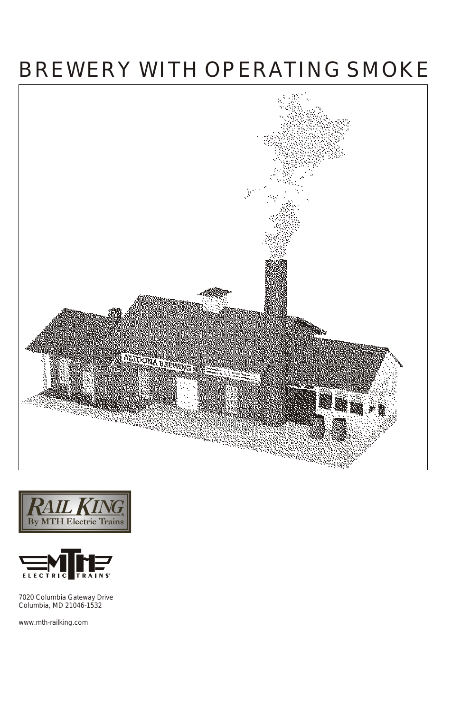# BREWERY WITH OPERATING SMOKE







7020 Columbia Gateway Drive Columbia, MD 21046-1532

www.mth-railking.com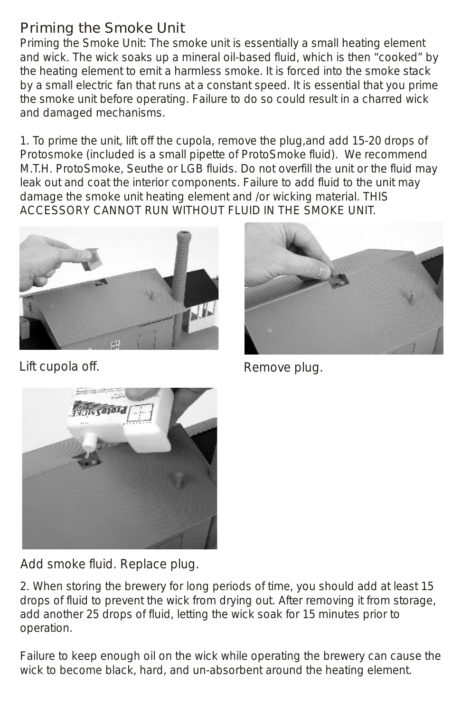## Priming the Smoke Unit

Priming the Smoke Unit: The smoke unit is essentially a small heating element and wick. The wick soaks up a mineral oil-based fluid, which is then "cooked" by the heating element to emit a harmless smoke. It is forced into the smoke stack by a small electric fan that runs at a constant speed. It is essential that you prime the smoke unit before operating. Failure to do so could result in a charred wick and damaged mechanisms.

1. To prime the unit, lift off the cupola, remove the plug,and add 15-20 drops of Protosmoke (included is a small pipette of ProtoSmoke fluid). We recommend M.T.H. ProtoSmoke, Seuthe or LGB fluids. Do not overfill the unit or the fluid may leak out and coat the interior components. Failure to add fluid to the unit may damage the smoke unit heating element and /or wicking material. THIS ACCESSORY CANNOT RUN WITHOUT FLUID IN THE SMOKE UNIT.



Lift cupola off. The contract of the Remove plug.





Add smoke fluid. Replace plug.

2. When storing the brewery for long periods of time, you should add at least 15 drops of fluid to prevent the wick from drying out. After removing it from storage, add another 25 drops of fluid, letting the wick soak for 15 minutes prior to operation.

Failure to keep enough oil on the wick while operating the brewery can cause the wick to become black, hard, and un-absorbent around the heating element.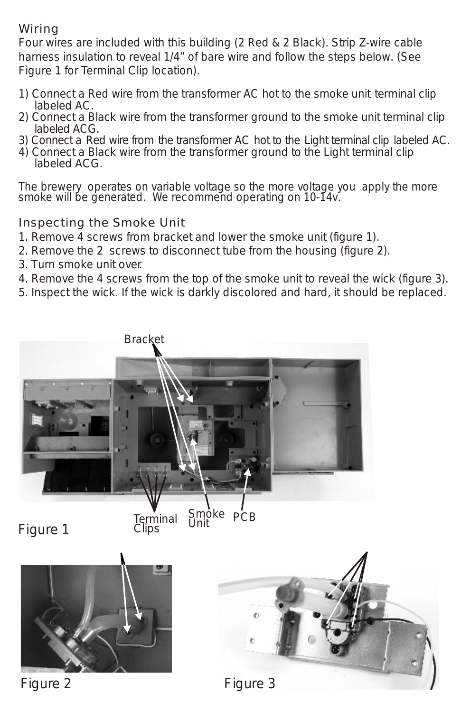#### Wiring

Four wires are included with this building (2 Red & 2 Black). Strip Z-wire cable harness insulation to reveal 1/4" of bare wire and follow the steps below. (See Figure 1 for Terminal Clip location).

- 1) Connect a Red wire from the transformer AC hot to the smoke unit terminal clip labeled AC.
- 2) Connect a Black wire from the transformer ground to the smoke unit terminal clip labeled ACG.
- 3) Connect a Red wire from the transformer AC hot to the Light terminal clip labeled AC.
- 4) Connect a Black wire from the transformer ground to the Light terminal clip labeled ACG.

*The brewery operates on variable voltage so the more voltage you apply the more smoke will be generated. We recommend operating on 10-14v.*

Inspecting the Smoke Unit

- 1. Remove 4 screws from bracket and lower the smoke unit (figure 1).
- 2. Remove the 2 screws to disconnect tube from the housing (figure 2).
- 3. Turn smoke unit over.
- 4. Remove the 4 screws from the top of the smoke unit to reveal the wick (figure 3).
- 5. Inspect the wick. If the wick is darkly discolored and hard, it should be replaced.